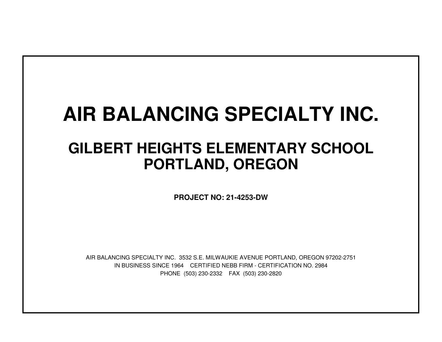## **AIR BALANCING SPECIALTY INC.**

## **GILBERT HEIGHTS ELEMENTARY SCHOOLPORTLAND, OREGON**

**PROJECT NO: 21-4253-DW**

IN BUSINESS SINCE 1964 CERTIFIED NEBB FIRM - CERTIFICATION NO. 2984PHONE (503) 230-2332 FAX (503) 230-2820AIR BALANCING SPECIALTY INC. 3532 S.E. MILWAUKIE AVENUE PORTLAND, OREGON 97202-2751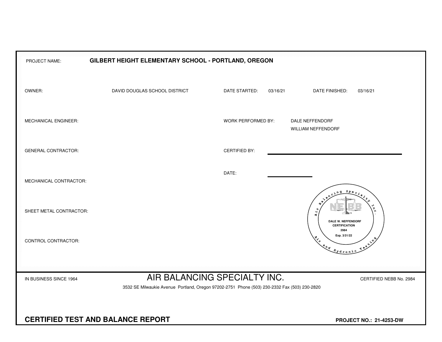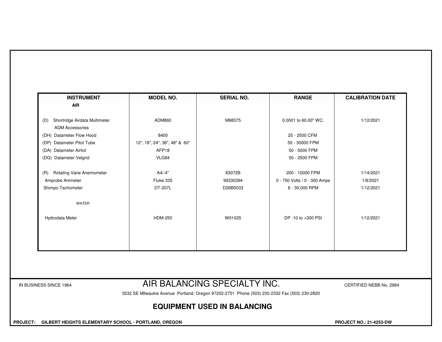| <b>INSTRUMENT</b>                                              | <b>MODEL NO.</b>              | <b>SERIAL NO.</b> | <b>RANGE</b>                 | <b>CALIBRATION DATE</b> |
|----------------------------------------------------------------|-------------------------------|-------------------|------------------------------|-------------------------|
| <b>AIR</b>                                                     |                               |                   |                              |                         |
| Shortridge Airdata Multimeter<br>(D)<br><b>ADM Accessories</b> | ADM860                        | M98375            | 0.0001 to 60.00" WC.         | 1/12/2021               |
| (DH) Datameter Flow Hood                                       | 8400                          |                   | 25 - 2500 CFM                |                         |
| (DP) Datameter Pitot Tube                                      | 12", 18", 24", 36", 48" & 60" |                   | 50 - 30000 FPM               |                         |
| (DA) Datameter Airfoil                                         | AFP18                         |                   | 50 - 5000 FPM                |                         |
| (DG) Datameter Velgrid                                         | VLG84                         |                   | 50 - 2500 FPM                |                         |
| <b>Rotating Vane Anemometer</b><br>(R)                         | A4/-4"                        | 83072B            | 200 - 10000 FPM              | 1/14/2021               |
| Amprobe Ammeter                                                | Fluke 335                     | 99330394          | 0 - 750 Volts / 0 - 300 Amps | 1/8/2021                |
| Shimpo Tachometer                                              | DT-207L                       | D26B0033          | 6 - 30,000 RPM               | 1/12/2021               |
| WATER                                                          |                               |                   |                              |                         |
| Hydrodata Meter                                                | <b>HDM-250</b>                | W01025            | DP -10 to +300 PSI           | 1/12/2021               |
|                                                                |                               |                   |                              |                         |
|                                                                |                               |                   |                              |                         |
|                                                                |                               |                   |                              |                         |

3532 SE Milwaukie Avenue Portland, Oregon 97202-2751 Phone (503) 230-2332 Fax (503) 230-2820

## **EQUIPMENT USED IN BALANCING**

 **PROJECT: GILBERT HEIGHTS ELEMENTARY SCHOOL - PORTLAND, OREGON PROJECT NO.: 21-4253-DW**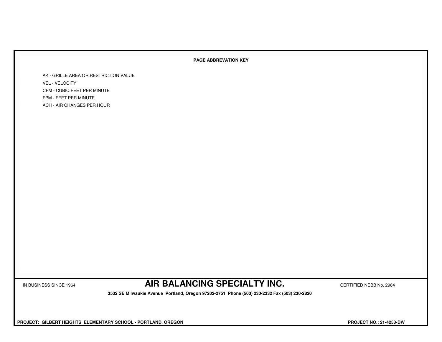## **PAGE ABBREVATION KEY**

AK - GRILLE AREA OR RESTRICTION VALUEVEL - VELOCITY CFM - CUBIC FEET PER MINUTEFPM - FEET PER MINUTEACH - AIR CHANGES PER HOUR

IN BUSINESS SINCE 1964 **AIR BALANCING SPECIALTY INC.** CERTIFIED NEBB No. 2984

 **3532 SE Milwaukie Avenue Portland, Oregon 97202-2751 Phone (503) 230-2332 Fax (503) 230-2820**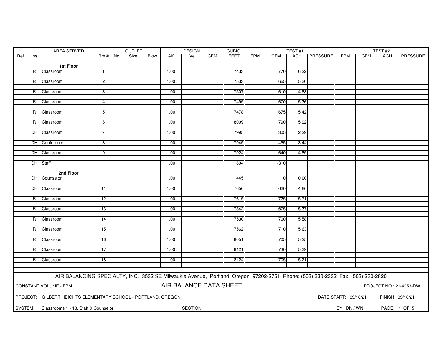| <b>FEET</b><br><b>FPM</b><br>ACH   PRESSURE<br>PRESSURE<br>Ref<br>Size<br>Blow<br>Vel<br><b>CFM</b><br><b>CFM</b><br><b>FPM</b><br><b>CFM</b><br>$Rm.+$ No.<br>AK<br><b>ACH</b><br>Ins<br>1st Floor<br>7433<br>Classroom<br>1.00<br>770<br>6.22<br>R<br>$\mathbf{1}$<br>7533<br>$\overline{c}$<br>1.00<br>665<br>5.30<br>R<br>Classroom<br>7507<br>3<br>1.00<br>610<br>4.88<br>R Classroom<br>7495<br>1.00<br>670<br>5.36<br>R<br>Classroom<br>$\overline{4}$<br>7478<br>675<br>5.42<br>R<br>Classroom<br>5<br>1.00<br>1.00<br>8009<br>790<br>5.92<br>Classroom<br>6<br>R<br>7995<br>1.00<br>305<br>2.29<br>DH Classroom<br>7<br>7945<br>DH Conference<br>8<br>1.00<br>455<br>3.44<br>7924<br>DH Classroom<br>$\overline{9}$<br>1.00<br>640<br>4.85<br>DH Staff<br>1.00<br>1804<br>$-310$<br>2nd Floor<br>DH Counselor<br>1.00<br>1445<br>0.00<br>$\overline{0}$<br>1.00<br>7656<br>620<br>4.86<br>DH Classroom<br>11<br>1.00<br>7615<br>725<br>5.71<br>Classroom<br>12<br>R.<br>7542<br>1.00<br>675<br>5.37<br>R<br>Classroom<br>13<br>7530<br>5.58<br>1.00<br>700<br>Classroom<br>14<br>R.<br>7562<br>1.00<br>710<br>5.63<br>Classroom<br>15<br>R<br>8051<br>5.25<br>R Classroom<br>16<br>1.00<br>705<br>17<br>1.00<br>8121<br>730<br>5.39<br>R Classroom<br>18<br>1.00<br>8124<br>705<br>5.21<br>R Classroom<br>AIR BALANCING SPECIALTY, INC. 3532 SE Milwaukie Avenue, Portland, Oregon 97202-2751 Phone: (503) 230-2332 Fax: (503) 230-2820<br>AIR BALANCE DATA SHEET<br><b>CONSTANT VOLUME - FPM</b><br>PROJECT NO.: 21-4253-DW<br>PROJECT: GILBERT HEIGHTS ELEMENTARY SCHOOL - PORTLAND, OREGON<br>DATE START: 03/16/21<br>FINISH: 03/16/21<br>SYSTEM: Classrooms 1 - 18, Staff & Counselor<br>SECTION:<br>BY: DN / WN<br>PAGE: 1 OF 5 |  |  | AREA SERVED | OUTLET<br><b>DESIGN</b><br><b>CUBIC</b> |  |  |  |  |  |  |  |  | TEST#1 |  |  | TEST#2 |  |  |
|-----------------------------------------------------------------------------------------------------------------------------------------------------------------------------------------------------------------------------------------------------------------------------------------------------------------------------------------------------------------------------------------------------------------------------------------------------------------------------------------------------------------------------------------------------------------------------------------------------------------------------------------------------------------------------------------------------------------------------------------------------------------------------------------------------------------------------------------------------------------------------------------------------------------------------------------------------------------------------------------------------------------------------------------------------------------------------------------------------------------------------------------------------------------------------------------------------------------------------------------------------------------------------------------------------------------------------------------------------------------------------------------------------------------------------------------------------------------------------------------------------------------------------------------------------------------------------------------------------------------------------------------------------------------------------------------------------------------------------------------------|--|--|-------------|-----------------------------------------|--|--|--|--|--|--|--|--|--------|--|--|--------|--|--|
|                                                                                                                                                                                                                                                                                                                                                                                                                                                                                                                                                                                                                                                                                                                                                                                                                                                                                                                                                                                                                                                                                                                                                                                                                                                                                                                                                                                                                                                                                                                                                                                                                                                                                                                                               |  |  |             |                                         |  |  |  |  |  |  |  |  |        |  |  |        |  |  |
|                                                                                                                                                                                                                                                                                                                                                                                                                                                                                                                                                                                                                                                                                                                                                                                                                                                                                                                                                                                                                                                                                                                                                                                                                                                                                                                                                                                                                                                                                                                                                                                                                                                                                                                                               |  |  |             |                                         |  |  |  |  |  |  |  |  |        |  |  |        |  |  |
|                                                                                                                                                                                                                                                                                                                                                                                                                                                                                                                                                                                                                                                                                                                                                                                                                                                                                                                                                                                                                                                                                                                                                                                                                                                                                                                                                                                                                                                                                                                                                                                                                                                                                                                                               |  |  |             |                                         |  |  |  |  |  |  |  |  |        |  |  |        |  |  |
|                                                                                                                                                                                                                                                                                                                                                                                                                                                                                                                                                                                                                                                                                                                                                                                                                                                                                                                                                                                                                                                                                                                                                                                                                                                                                                                                                                                                                                                                                                                                                                                                                                                                                                                                               |  |  |             |                                         |  |  |  |  |  |  |  |  |        |  |  |        |  |  |
|                                                                                                                                                                                                                                                                                                                                                                                                                                                                                                                                                                                                                                                                                                                                                                                                                                                                                                                                                                                                                                                                                                                                                                                                                                                                                                                                                                                                                                                                                                                                                                                                                                                                                                                                               |  |  |             |                                         |  |  |  |  |  |  |  |  |        |  |  |        |  |  |
|                                                                                                                                                                                                                                                                                                                                                                                                                                                                                                                                                                                                                                                                                                                                                                                                                                                                                                                                                                                                                                                                                                                                                                                                                                                                                                                                                                                                                                                                                                                                                                                                                                                                                                                                               |  |  |             |                                         |  |  |  |  |  |  |  |  |        |  |  |        |  |  |
|                                                                                                                                                                                                                                                                                                                                                                                                                                                                                                                                                                                                                                                                                                                                                                                                                                                                                                                                                                                                                                                                                                                                                                                                                                                                                                                                                                                                                                                                                                                                                                                                                                                                                                                                               |  |  |             |                                         |  |  |  |  |  |  |  |  |        |  |  |        |  |  |
|                                                                                                                                                                                                                                                                                                                                                                                                                                                                                                                                                                                                                                                                                                                                                                                                                                                                                                                                                                                                                                                                                                                                                                                                                                                                                                                                                                                                                                                                                                                                                                                                                                                                                                                                               |  |  |             |                                         |  |  |  |  |  |  |  |  |        |  |  |        |  |  |
|                                                                                                                                                                                                                                                                                                                                                                                                                                                                                                                                                                                                                                                                                                                                                                                                                                                                                                                                                                                                                                                                                                                                                                                                                                                                                                                                                                                                                                                                                                                                                                                                                                                                                                                                               |  |  |             |                                         |  |  |  |  |  |  |  |  |        |  |  |        |  |  |
|                                                                                                                                                                                                                                                                                                                                                                                                                                                                                                                                                                                                                                                                                                                                                                                                                                                                                                                                                                                                                                                                                                                                                                                                                                                                                                                                                                                                                                                                                                                                                                                                                                                                                                                                               |  |  |             |                                         |  |  |  |  |  |  |  |  |        |  |  |        |  |  |
|                                                                                                                                                                                                                                                                                                                                                                                                                                                                                                                                                                                                                                                                                                                                                                                                                                                                                                                                                                                                                                                                                                                                                                                                                                                                                                                                                                                                                                                                                                                                                                                                                                                                                                                                               |  |  |             |                                         |  |  |  |  |  |  |  |  |        |  |  |        |  |  |
|                                                                                                                                                                                                                                                                                                                                                                                                                                                                                                                                                                                                                                                                                                                                                                                                                                                                                                                                                                                                                                                                                                                                                                                                                                                                                                                                                                                                                                                                                                                                                                                                                                                                                                                                               |  |  |             |                                         |  |  |  |  |  |  |  |  |        |  |  |        |  |  |
|                                                                                                                                                                                                                                                                                                                                                                                                                                                                                                                                                                                                                                                                                                                                                                                                                                                                                                                                                                                                                                                                                                                                                                                                                                                                                                                                                                                                                                                                                                                                                                                                                                                                                                                                               |  |  |             |                                         |  |  |  |  |  |  |  |  |        |  |  |        |  |  |
|                                                                                                                                                                                                                                                                                                                                                                                                                                                                                                                                                                                                                                                                                                                                                                                                                                                                                                                                                                                                                                                                                                                                                                                                                                                                                                                                                                                                                                                                                                                                                                                                                                                                                                                                               |  |  |             |                                         |  |  |  |  |  |  |  |  |        |  |  |        |  |  |
|                                                                                                                                                                                                                                                                                                                                                                                                                                                                                                                                                                                                                                                                                                                                                                                                                                                                                                                                                                                                                                                                                                                                                                                                                                                                                                                                                                                                                                                                                                                                                                                                                                                                                                                                               |  |  |             |                                         |  |  |  |  |  |  |  |  |        |  |  |        |  |  |
|                                                                                                                                                                                                                                                                                                                                                                                                                                                                                                                                                                                                                                                                                                                                                                                                                                                                                                                                                                                                                                                                                                                                                                                                                                                                                                                                                                                                                                                                                                                                                                                                                                                                                                                                               |  |  |             |                                         |  |  |  |  |  |  |  |  |        |  |  |        |  |  |
|                                                                                                                                                                                                                                                                                                                                                                                                                                                                                                                                                                                                                                                                                                                                                                                                                                                                                                                                                                                                                                                                                                                                                                                                                                                                                                                                                                                                                                                                                                                                                                                                                                                                                                                                               |  |  |             |                                         |  |  |  |  |  |  |  |  |        |  |  |        |  |  |
|                                                                                                                                                                                                                                                                                                                                                                                                                                                                                                                                                                                                                                                                                                                                                                                                                                                                                                                                                                                                                                                                                                                                                                                                                                                                                                                                                                                                                                                                                                                                                                                                                                                                                                                                               |  |  |             |                                         |  |  |  |  |  |  |  |  |        |  |  |        |  |  |
|                                                                                                                                                                                                                                                                                                                                                                                                                                                                                                                                                                                                                                                                                                                                                                                                                                                                                                                                                                                                                                                                                                                                                                                                                                                                                                                                                                                                                                                                                                                                                                                                                                                                                                                                               |  |  |             |                                         |  |  |  |  |  |  |  |  |        |  |  |        |  |  |
|                                                                                                                                                                                                                                                                                                                                                                                                                                                                                                                                                                                                                                                                                                                                                                                                                                                                                                                                                                                                                                                                                                                                                                                                                                                                                                                                                                                                                                                                                                                                                                                                                                                                                                                                               |  |  |             |                                         |  |  |  |  |  |  |  |  |        |  |  |        |  |  |
|                                                                                                                                                                                                                                                                                                                                                                                                                                                                                                                                                                                                                                                                                                                                                                                                                                                                                                                                                                                                                                                                                                                                                                                                                                                                                                                                                                                                                                                                                                                                                                                                                                                                                                                                               |  |  |             |                                         |  |  |  |  |  |  |  |  |        |  |  |        |  |  |
|                                                                                                                                                                                                                                                                                                                                                                                                                                                                                                                                                                                                                                                                                                                                                                                                                                                                                                                                                                                                                                                                                                                                                                                                                                                                                                                                                                                                                                                                                                                                                                                                                                                                                                                                               |  |  |             |                                         |  |  |  |  |  |  |  |  |        |  |  |        |  |  |
|                                                                                                                                                                                                                                                                                                                                                                                                                                                                                                                                                                                                                                                                                                                                                                                                                                                                                                                                                                                                                                                                                                                                                                                                                                                                                                                                                                                                                                                                                                                                                                                                                                                                                                                                               |  |  |             |                                         |  |  |  |  |  |  |  |  |        |  |  |        |  |  |
|                                                                                                                                                                                                                                                                                                                                                                                                                                                                                                                                                                                                                                                                                                                                                                                                                                                                                                                                                                                                                                                                                                                                                                                                                                                                                                                                                                                                                                                                                                                                                                                                                                                                                                                                               |  |  |             |                                         |  |  |  |  |  |  |  |  |        |  |  |        |  |  |
|                                                                                                                                                                                                                                                                                                                                                                                                                                                                                                                                                                                                                                                                                                                                                                                                                                                                                                                                                                                                                                                                                                                                                                                                                                                                                                                                                                                                                                                                                                                                                                                                                                                                                                                                               |  |  |             |                                         |  |  |  |  |  |  |  |  |        |  |  |        |  |  |
|                                                                                                                                                                                                                                                                                                                                                                                                                                                                                                                                                                                                                                                                                                                                                                                                                                                                                                                                                                                                                                                                                                                                                                                                                                                                                                                                                                                                                                                                                                                                                                                                                                                                                                                                               |  |  |             |                                         |  |  |  |  |  |  |  |  |        |  |  |        |  |  |
|                                                                                                                                                                                                                                                                                                                                                                                                                                                                                                                                                                                                                                                                                                                                                                                                                                                                                                                                                                                                                                                                                                                                                                                                                                                                                                                                                                                                                                                                                                                                                                                                                                                                                                                                               |  |  |             |                                         |  |  |  |  |  |  |  |  |        |  |  |        |  |  |
|                                                                                                                                                                                                                                                                                                                                                                                                                                                                                                                                                                                                                                                                                                                                                                                                                                                                                                                                                                                                                                                                                                                                                                                                                                                                                                                                                                                                                                                                                                                                                                                                                                                                                                                                               |  |  |             |                                         |  |  |  |  |  |  |  |  |        |  |  |        |  |  |
|                                                                                                                                                                                                                                                                                                                                                                                                                                                                                                                                                                                                                                                                                                                                                                                                                                                                                                                                                                                                                                                                                                                                                                                                                                                                                                                                                                                                                                                                                                                                                                                                                                                                                                                                               |  |  |             |                                         |  |  |  |  |  |  |  |  |        |  |  |        |  |  |
|                                                                                                                                                                                                                                                                                                                                                                                                                                                                                                                                                                                                                                                                                                                                                                                                                                                                                                                                                                                                                                                                                                                                                                                                                                                                                                                                                                                                                                                                                                                                                                                                                                                                                                                                               |  |  |             |                                         |  |  |  |  |  |  |  |  |        |  |  |        |  |  |
|                                                                                                                                                                                                                                                                                                                                                                                                                                                                                                                                                                                                                                                                                                                                                                                                                                                                                                                                                                                                                                                                                                                                                                                                                                                                                                                                                                                                                                                                                                                                                                                                                                                                                                                                               |  |  |             |                                         |  |  |  |  |  |  |  |  |        |  |  |        |  |  |
|                                                                                                                                                                                                                                                                                                                                                                                                                                                                                                                                                                                                                                                                                                                                                                                                                                                                                                                                                                                                                                                                                                                                                                                                                                                                                                                                                                                                                                                                                                                                                                                                                                                                                                                                               |  |  |             |                                         |  |  |  |  |  |  |  |  |        |  |  |        |  |  |
|                                                                                                                                                                                                                                                                                                                                                                                                                                                                                                                                                                                                                                                                                                                                                                                                                                                                                                                                                                                                                                                                                                                                                                                                                                                                                                                                                                                                                                                                                                                                                                                                                                                                                                                                               |  |  |             |                                         |  |  |  |  |  |  |  |  |        |  |  |        |  |  |
|                                                                                                                                                                                                                                                                                                                                                                                                                                                                                                                                                                                                                                                                                                                                                                                                                                                                                                                                                                                                                                                                                                                                                                                                                                                                                                                                                                                                                                                                                                                                                                                                                                                                                                                                               |  |  |             |                                         |  |  |  |  |  |  |  |  |        |  |  |        |  |  |
|                                                                                                                                                                                                                                                                                                                                                                                                                                                                                                                                                                                                                                                                                                                                                                                                                                                                                                                                                                                                                                                                                                                                                                                                                                                                                                                                                                                                                                                                                                                                                                                                                                                                                                                                               |  |  |             |                                         |  |  |  |  |  |  |  |  |        |  |  |        |  |  |
|                                                                                                                                                                                                                                                                                                                                                                                                                                                                                                                                                                                                                                                                                                                                                                                                                                                                                                                                                                                                                                                                                                                                                                                                                                                                                                                                                                                                                                                                                                                                                                                                                                                                                                                                               |  |  |             |                                         |  |  |  |  |  |  |  |  |        |  |  |        |  |  |
|                                                                                                                                                                                                                                                                                                                                                                                                                                                                                                                                                                                                                                                                                                                                                                                                                                                                                                                                                                                                                                                                                                                                                                                                                                                                                                                                                                                                                                                                                                                                                                                                                                                                                                                                               |  |  |             |                                         |  |  |  |  |  |  |  |  |        |  |  |        |  |  |
|                                                                                                                                                                                                                                                                                                                                                                                                                                                                                                                                                                                                                                                                                                                                                                                                                                                                                                                                                                                                                                                                                                                                                                                                                                                                                                                                                                                                                                                                                                                                                                                                                                                                                                                                               |  |  |             |                                         |  |  |  |  |  |  |  |  |        |  |  |        |  |  |
|                                                                                                                                                                                                                                                                                                                                                                                                                                                                                                                                                                                                                                                                                                                                                                                                                                                                                                                                                                                                                                                                                                                                                                                                                                                                                                                                                                                                                                                                                                                                                                                                                                                                                                                                               |  |  |             |                                         |  |  |  |  |  |  |  |  |        |  |  |        |  |  |
|                                                                                                                                                                                                                                                                                                                                                                                                                                                                                                                                                                                                                                                                                                                                                                                                                                                                                                                                                                                                                                                                                                                                                                                                                                                                                                                                                                                                                                                                                                                                                                                                                                                                                                                                               |  |  |             |                                         |  |  |  |  |  |  |  |  |        |  |  |        |  |  |
|                                                                                                                                                                                                                                                                                                                                                                                                                                                                                                                                                                                                                                                                                                                                                                                                                                                                                                                                                                                                                                                                                                                                                                                                                                                                                                                                                                                                                                                                                                                                                                                                                                                                                                                                               |  |  |             |                                         |  |  |  |  |  |  |  |  |        |  |  |        |  |  |
|                                                                                                                                                                                                                                                                                                                                                                                                                                                                                                                                                                                                                                                                                                                                                                                                                                                                                                                                                                                                                                                                                                                                                                                                                                                                                                                                                                                                                                                                                                                                                                                                                                                                                                                                               |  |  |             |                                         |  |  |  |  |  |  |  |  |        |  |  |        |  |  |
|                                                                                                                                                                                                                                                                                                                                                                                                                                                                                                                                                                                                                                                                                                                                                                                                                                                                                                                                                                                                                                                                                                                                                                                                                                                                                                                                                                                                                                                                                                                                                                                                                                                                                                                                               |  |  |             |                                         |  |  |  |  |  |  |  |  |        |  |  |        |  |  |
|                                                                                                                                                                                                                                                                                                                                                                                                                                                                                                                                                                                                                                                                                                                                                                                                                                                                                                                                                                                                                                                                                                                                                                                                                                                                                                                                                                                                                                                                                                                                                                                                                                                                                                                                               |  |  |             |                                         |  |  |  |  |  |  |  |  |        |  |  |        |  |  |
|                                                                                                                                                                                                                                                                                                                                                                                                                                                                                                                                                                                                                                                                                                                                                                                                                                                                                                                                                                                                                                                                                                                                                                                                                                                                                                                                                                                                                                                                                                                                                                                                                                                                                                                                               |  |  |             |                                         |  |  |  |  |  |  |  |  |        |  |  |        |  |  |
|                                                                                                                                                                                                                                                                                                                                                                                                                                                                                                                                                                                                                                                                                                                                                                                                                                                                                                                                                                                                                                                                                                                                                                                                                                                                                                                                                                                                                                                                                                                                                                                                                                                                                                                                               |  |  |             |                                         |  |  |  |  |  |  |  |  |        |  |  |        |  |  |
|                                                                                                                                                                                                                                                                                                                                                                                                                                                                                                                                                                                                                                                                                                                                                                                                                                                                                                                                                                                                                                                                                                                                                                                                                                                                                                                                                                                                                                                                                                                                                                                                                                                                                                                                               |  |  |             |                                         |  |  |  |  |  |  |  |  |        |  |  |        |  |  |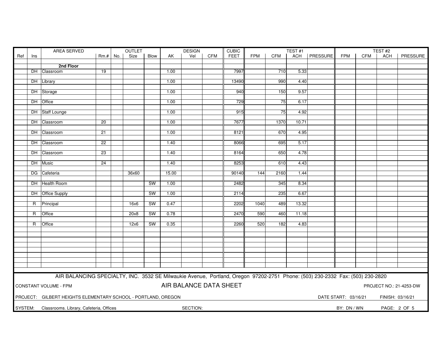|                                                                                                                               |                | AREA SERVED                             |                 | <b>OUTLET</b> |       |             | <b>DESIGN</b> |          | <b>CUBIC</b> |             |            | TEST#1     |       |                |             | TEST#2     |            |              |
|-------------------------------------------------------------------------------------------------------------------------------|----------------|-----------------------------------------|-----------------|---------------|-------|-------------|---------------|----------|--------------|-------------|------------|------------|-------|----------------|-------------|------------|------------|--------------|
| Ref                                                                                                                           | Ins            |                                         | $Rm.+$          | No.           | Size  | <b>Blow</b> | AK            | Vel      | <b>CFM</b>   | <b>FEET</b> | <b>FPM</b> | <b>CFM</b> |       | ACH   PRESSURE | <b>FPM</b>  | <b>CFM</b> | <b>ACH</b> | PRESSURE     |
|                                                                                                                               |                |                                         |                 |               |       |             |               |          |              |             |            |            |       |                |             |            |            |              |
|                                                                                                                               |                | 2nd Floor                               |                 |               |       |             |               |          |              |             |            |            |       |                |             |            |            |              |
|                                                                                                                               | DH             | Classroom                               | 19              |               |       |             | 1.00          |          |              | 7997        |            | 710        | 5.33  |                |             |            |            |              |
|                                                                                                                               |                |                                         |                 |               |       |             |               |          |              |             |            |            |       |                |             |            |            |              |
|                                                                                                                               |                | DH Library                              |                 |               |       |             | 1.00          |          |              | 13490       |            | 990        | 4.40  |                |             |            |            |              |
|                                                                                                                               |                |                                         |                 |               |       |             |               |          |              |             |            |            |       |                |             |            |            |              |
|                                                                                                                               |                | DH Storage                              |                 |               |       |             | 1.00          |          |              | 940         |            | 150        | 9.57  |                |             |            |            |              |
|                                                                                                                               |                |                                         |                 |               |       |             |               |          |              |             |            |            |       |                |             |            |            |              |
|                                                                                                                               | DH             | <b>Office</b>                           |                 |               |       |             | 1.00          |          |              | 729         |            | 75         | 6.17  |                |             |            |            |              |
|                                                                                                                               |                | DH Staff Lounge                         |                 |               |       |             | 1.00          |          |              | 915         |            | 75         | 4.92  |                |             |            |            |              |
|                                                                                                                               |                |                                         |                 |               |       |             |               |          |              |             |            |            |       |                |             |            |            |              |
|                                                                                                                               |                | DH Classroom                            | $\overline{20}$ |               |       |             | 1.00          |          |              | 7677        |            | 1370       | 10.71 |                |             |            |            |              |
|                                                                                                                               |                |                                         |                 |               |       |             |               |          |              |             |            |            |       |                |             |            |            |              |
|                                                                                                                               |                | DH Classroom                            | 21              |               |       |             | 1.00          |          |              | 8121        |            | 670        | 4.95  |                |             |            |            |              |
|                                                                                                                               |                |                                         |                 |               |       |             |               |          |              |             |            |            |       |                |             |            |            |              |
|                                                                                                                               |                | DH Classroom                            | 22              |               |       |             | 1.40          |          |              | 8066        |            | 695        | 5.17  |                |             |            |            |              |
|                                                                                                                               |                |                                         |                 |               |       |             |               |          |              |             |            |            |       |                |             |            |            |              |
|                                                                                                                               |                | DH Classroom                            | 23              |               |       |             | 1.40          |          |              | 8164        |            | 650        | 4.78  |                |             |            |            |              |
|                                                                                                                               |                |                                         |                 |               |       |             |               |          |              |             |            |            |       |                |             |            |            |              |
|                                                                                                                               |                | DH Music                                | $\overline{24}$ |               |       |             | 1.40          |          |              | 8253        |            | 610        | 4.43  |                |             |            |            |              |
|                                                                                                                               |                |                                         |                 |               |       |             |               |          |              |             |            |            |       |                |             |            |            |              |
|                                                                                                                               |                | DG Cafeteria                            |                 |               | 36x60 |             | 15.00         |          |              | 90140       | 144        | 2160       | 1.44  |                |             |            |            |              |
|                                                                                                                               |                |                                         |                 |               |       |             |               |          |              |             |            |            |       |                |             |            |            |              |
|                                                                                                                               |                | DH Health Room                          |                 |               |       | <b>SW</b>   | 1.00          |          |              | 2482        |            | 345        | 8.34  |                |             |            |            |              |
|                                                                                                                               |                |                                         |                 |               |       |             |               |          |              |             |            |            |       |                |             |            |            |              |
|                                                                                                                               |                | DH Office Supply                        |                 |               |       | <b>SW</b>   | 1.00          |          |              | 2114        |            | 235        | 6.67  |                |             |            |            |              |
|                                                                                                                               |                |                                         |                 |               |       |             |               |          |              |             |            |            |       |                |             |            |            |              |
|                                                                                                                               | R              | Principal                               |                 |               | 16x6  | <b>SW</b>   | 0.47          |          |              | 2202        | 1040       | 489        | 13.32 |                |             |            |            |              |
|                                                                                                                               |                |                                         |                 |               |       |             |               |          |              |             |            |            |       |                |             |            |            |              |
|                                                                                                                               | $\overline{R}$ | Office                                  |                 |               | 20x8  | <b>SW</b>   | 0.78          |          |              | 2470        | 590        | 460        | 11.18 |                |             |            |            |              |
|                                                                                                                               |                |                                         |                 |               |       |             |               |          |              |             |            |            |       |                |             |            |            |              |
|                                                                                                                               | R              | Office                                  |                 |               | 12x6  | <b>SW</b>   | 0.35          |          |              | 2260        | 520        | 182        | 4.83  |                |             |            |            |              |
|                                                                                                                               |                |                                         |                 |               |       |             |               |          |              |             |            |            |       |                |             |            |            |              |
|                                                                                                                               |                |                                         |                 |               |       |             |               |          |              |             |            |            |       |                |             |            |            |              |
|                                                                                                                               |                |                                         |                 |               |       |             |               |          |              |             |            |            |       |                |             |            |            |              |
|                                                                                                                               |                |                                         |                 |               |       |             |               |          |              |             |            |            |       |                |             |            |            |              |
|                                                                                                                               |                |                                         |                 |               |       |             |               |          |              |             |            |            |       |                |             |            |            |              |
|                                                                                                                               |                |                                         |                 |               |       |             |               |          |              |             |            |            |       |                |             |            |            |              |
|                                                                                                                               |                |                                         |                 |               |       |             |               |          |              |             |            |            |       |                |             |            |            |              |
|                                                                                                                               |                |                                         |                 |               |       |             |               |          |              |             |            |            |       |                |             |            |            |              |
|                                                                                                                               |                |                                         |                 |               |       |             |               |          |              |             |            |            |       |                |             |            |            |              |
| AIR BALANCING SPECIALTY, INC. 3532 SE Milwaukie Avenue, Portland, Oregon 97202-2751 Phone: (503) 230-2332 Fax: (503) 230-2820 |                |                                         |                 |               |       |             |               |          |              |             |            |            |       |                |             |            |            |              |
| AIR BALANCE DATA SHEET<br>CONSTANT VOLUME - FPM<br>PROJECT NO.: 21-4253-DW                                                    |                |                                         |                 |               |       |             |               |          |              |             |            |            |       |                |             |            |            |              |
|                                                                                                                               |                |                                         |                 |               |       |             |               |          |              |             |            |            |       |                |             |            |            |              |
| PROJECT: GILBERT HEIGHTS ELEMENTARY SCHOOL - PORTLAND, OREGON<br>DATE START: 03/16/21<br>FINISH: 03/16/21                     |                |                                         |                 |               |       |             |               |          |              |             |            |            |       |                |             |            |            |              |
|                                                                                                                               |                |                                         |                 |               |       |             |               |          |              |             |            |            |       |                |             |            |            |              |
| SYSTEM:                                                                                                                       |                | Classrooms. Library, Cafeteria, Offices |                 |               |       |             |               | SECTION: |              |             |            |            |       |                | BY: DN / WN |            |            | PAGE: 2 OF 5 |
|                                                                                                                               |                |                                         |                 |               |       |             |               |          |              |             |            |            |       |                |             |            |            |              |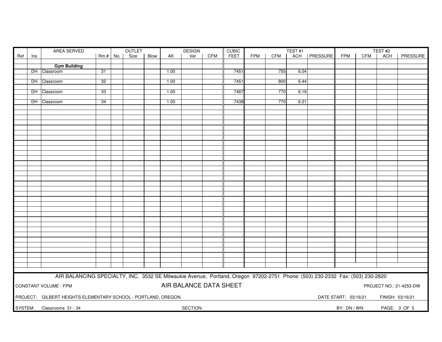|                        | <b>AREA SERVED</b><br>OUTLET<br><b>DESIGN</b>                                                                                 |                     |                 |  |      |      |      |          | <b>CUBIC</b> |      |            | TEST#1     | TEST <sub>#2</sub> |          |             |     |              |          |
|------------------------|-------------------------------------------------------------------------------------------------------------------------------|---------------------|-----------------|--|------|------|------|----------|--------------|------|------------|------------|--------------------|----------|-------------|-----|--------------|----------|
| Ref                    | Ins                                                                                                                           |                     | Rm.# No.        |  | Size | Blow | AK   | Vel      | <b>CFM</b>   | FEET | <b>FPM</b> | <b>CFM</b> | ACH                | PRESSURE | <b>FPM</b>  | CFM | ACH          | PRESSURE |
|                        |                                                                                                                               |                     |                 |  |      |      |      |          |              |      |            |            |                    |          |             |     |              |          |
|                        |                                                                                                                               | <b>Gym Building</b> |                 |  |      |      |      |          |              |      |            |            |                    |          |             |     |              |          |
|                        |                                                                                                                               | DH Classroom        | $\overline{31}$ |  |      |      | 1.00 |          |              | 7451 |            | 750        | 6.04               |          |             |     |              |          |
|                        |                                                                                                                               |                     |                 |  |      |      |      |          |              |      |            |            |                    |          |             |     |              |          |
|                        |                                                                                                                               | DH Classroom        | 32              |  |      |      | 1.00 |          |              | 7451 |            | 800        | 6.44               |          |             |     |              |          |
|                        |                                                                                                                               |                     |                 |  |      |      |      |          |              |      |            |            |                    |          |             |     |              |          |
|                        |                                                                                                                               | DH Classroom        | 33              |  |      |      | 1.00 |          |              | 7467 |            | 770        | 6.19               |          |             |     |              |          |
|                        |                                                                                                                               | DH Classroom        | 34              |  |      |      | 1.00 |          |              | 7438 |            | 770        | 6.21               |          |             |     |              |          |
|                        |                                                                                                                               |                     |                 |  |      |      |      |          |              |      |            |            |                    |          |             |     |              |          |
|                        |                                                                                                                               |                     |                 |  |      |      |      |          |              |      |            |            |                    |          |             |     |              |          |
|                        |                                                                                                                               |                     |                 |  |      |      |      |          |              |      |            |            |                    |          |             |     |              |          |
|                        |                                                                                                                               |                     |                 |  |      |      |      |          |              |      |            |            |                    |          |             |     |              |          |
|                        |                                                                                                                               |                     |                 |  |      |      |      |          |              |      |            |            |                    |          |             |     |              |          |
|                        |                                                                                                                               |                     |                 |  |      |      |      |          |              |      |            |            |                    |          |             |     |              |          |
|                        |                                                                                                                               |                     |                 |  |      |      |      |          |              |      |            |            |                    |          |             |     |              |          |
|                        |                                                                                                                               |                     |                 |  |      |      |      |          |              |      |            |            |                    |          |             |     |              |          |
|                        |                                                                                                                               |                     |                 |  |      |      |      |          |              |      |            |            |                    |          |             |     |              |          |
|                        |                                                                                                                               |                     |                 |  |      |      |      |          |              |      |            |            |                    |          |             |     |              |          |
|                        |                                                                                                                               |                     |                 |  |      |      |      |          |              |      |            |            |                    |          |             |     |              |          |
|                        |                                                                                                                               |                     |                 |  |      |      |      |          |              |      |            |            |                    |          |             |     |              |          |
|                        |                                                                                                                               |                     |                 |  |      |      |      |          |              |      |            |            |                    |          |             |     |              |          |
|                        |                                                                                                                               |                     |                 |  |      |      |      |          |              |      |            |            |                    |          |             |     |              |          |
|                        |                                                                                                                               |                     |                 |  |      |      |      |          |              |      |            |            |                    |          |             |     |              |          |
|                        |                                                                                                                               |                     |                 |  |      |      |      |          |              |      |            |            |                    |          |             |     |              |          |
|                        |                                                                                                                               |                     |                 |  |      |      |      |          |              |      |            |            |                    |          |             |     |              |          |
|                        |                                                                                                                               |                     |                 |  |      |      |      |          |              |      |            |            |                    |          |             |     |              |          |
|                        |                                                                                                                               |                     |                 |  |      |      |      |          |              |      |            |            |                    |          |             |     |              |          |
|                        |                                                                                                                               |                     |                 |  |      |      |      |          |              |      |            |            |                    |          |             |     |              |          |
|                        |                                                                                                                               |                     |                 |  |      |      |      |          |              |      |            |            |                    |          |             |     |              |          |
|                        |                                                                                                                               |                     |                 |  |      |      |      |          |              |      |            |            |                    |          |             |     |              |          |
|                        |                                                                                                                               |                     |                 |  |      |      |      |          |              |      |            |            |                    |          |             |     |              |          |
|                        |                                                                                                                               |                     |                 |  |      |      |      |          |              |      |            |            |                    |          |             |     |              |          |
|                        |                                                                                                                               |                     |                 |  |      |      |      |          |              |      |            |            |                    |          |             |     |              |          |
|                        |                                                                                                                               |                     |                 |  |      |      |      |          |              |      |            |            |                    |          |             |     |              |          |
|                        |                                                                                                                               |                     |                 |  |      |      |      |          |              |      |            |            |                    |          |             |     |              |          |
|                        |                                                                                                                               |                     |                 |  |      |      |      |          |              |      |            |            |                    |          |             |     |              |          |
|                        |                                                                                                                               |                     |                 |  |      |      |      |          |              |      |            |            |                    |          |             |     |              |          |
|                        |                                                                                                                               |                     |                 |  |      |      |      |          |              |      |            |            |                    |          |             |     |              |          |
|                        |                                                                                                                               |                     |                 |  |      |      |      |          |              |      |            |            |                    |          |             |     |              |          |
|                        | AIR BALANCING SPECIALTY, INC. 3532 SE Milwaukie Avenue, Portland, Oregon 97202-2751 Phone: (503) 230-2332 Fax: (503) 230-2820 |                     |                 |  |      |      |      |          |              |      |            |            |                    |          |             |     |              |          |
| AIR BALANCE DATA SHEET |                                                                                                                               |                     |                 |  |      |      |      |          |              |      |            |            |                    |          |             |     |              |          |
|                        | CONSTANT VOLUME - FPM<br>PROJECT NO.: 21-4253-DW                                                                              |                     |                 |  |      |      |      |          |              |      |            |            |                    |          |             |     |              |          |
|                        |                                                                                                                               |                     |                 |  |      |      |      |          |              |      |            |            |                    |          |             |     |              |          |
|                        | PROJECT: GILBERT HEIGHTS ELEMENTARY SCHOOL - PORTLAND, OREGON<br>DATE START: 03/16/21<br>FINISH: 03/16/21                     |                     |                 |  |      |      |      |          |              |      |            |            |                    |          |             |     |              |          |
| SYSTEM:                |                                                                                                                               | Classrooms 31 - 34  |                 |  |      |      |      | SECTION: |              |      |            |            |                    |          | BY: DN / WN |     | PAGE: 3 OF 5 |          |
|                        |                                                                                                                               |                     |                 |  |      |      |      |          |              |      |            |            |                    |          |             |     |              |          |
|                        |                                                                                                                               |                     |                 |  |      |      |      |          |              |      |            |            |                    |          |             |     |              |          |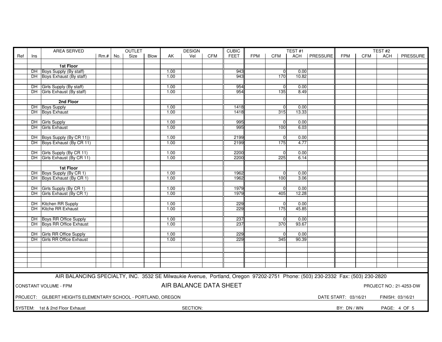|                                                                                                                               |           | AREA SERVED                                       | <b>OUTLET</b> |     |      | <b>DESIGN</b><br><b>CUBIC</b> |              |          |            |             |            |                  | TEST <sub>#2</sub> |                |             |            |              |          |
|-------------------------------------------------------------------------------------------------------------------------------|-----------|---------------------------------------------------|---------------|-----|------|-------------------------------|--------------|----------|------------|-------------|------------|------------------|--------------------|----------------|-------------|------------|--------------|----------|
| Ref                                                                                                                           | Ins       |                                                   | $Rm.+$        | No. | Size | Blow                          | AK           | Vel      | <b>CFM</b> | <b>FEET</b> | <b>FPM</b> | <b>CFM</b>       | TEST <sub>#1</sub> | ACH   PRESSURE | <b>FPM</b>  | <b>CFM</b> | <b>ACH</b>   | PRESSURE |
|                                                                                                                               |           |                                                   |               |     |      |                               |              |          |            |             |            |                  |                    |                |             |            |              |          |
|                                                                                                                               |           | 1st Floor                                         |               |     |      |                               |              |          |            |             |            |                  |                    |                |             |            |              |          |
|                                                                                                                               |           | DH Boys Supply (By staff)                         |               |     |      |                               | 1.00         |          |            | 943         |            | $\overline{0}$   | 0.00               |                |             |            |              |          |
|                                                                                                                               |           | DH Boys Exhaust (By staff)                        |               |     |      |                               | 1.00         |          |            | 943         |            | 170              | 10.82              |                |             |            |              |          |
|                                                                                                                               |           |                                                   |               |     |      |                               |              |          |            |             |            |                  |                    |                |             |            |              |          |
|                                                                                                                               |           | DH Girls Supply (By staff)                        |               |     |      |                               | 1.00         |          |            | 954         |            | $\overline{0}$   | 0.00               |                |             |            |              |          |
|                                                                                                                               |           | DH Girls Exhaust (By staff)                       |               |     |      |                               | 1.00         |          |            | 954         |            | 135              | 8.49               |                |             |            |              |          |
|                                                                                                                               |           |                                                   |               |     |      |                               |              |          |            |             |            |                  |                    |                |             |            |              |          |
|                                                                                                                               |           | 2nd Floor                                         |               |     |      |                               |              |          |            |             |            |                  |                    |                |             |            |              |          |
|                                                                                                                               |           | DH Boys Supply                                    |               |     |      |                               | 1.00         |          |            | 1418        |            | $\Omega$         | 0.00               |                |             |            |              |          |
|                                                                                                                               |           | DH Boys Exhaust                                   |               |     |      |                               | 1.00         |          |            | 1418        |            | 315              | 13.33              |                |             |            |              |          |
|                                                                                                                               |           |                                                   |               |     |      |                               |              |          |            |             |            |                  |                    |                |             |            |              |          |
|                                                                                                                               | DH        | Girls Supply                                      |               |     |      |                               | 1.00         |          |            | 995         |            | $\overline{0}$   | 0.00               |                |             |            |              |          |
|                                                                                                                               |           | DH Girls Exhaust                                  |               |     |      |                               | 1.00         |          |            | 995         |            | 100              | 6.03               |                |             |            |              |          |
|                                                                                                                               |           |                                                   |               |     |      |                               |              |          |            |             |            |                  |                    |                |             |            |              |          |
|                                                                                                                               |           | DH Boys Supply (By CR 11))                        |               |     |      |                               | 1.00         |          |            | 2199        |            | $\Omega$         | 0.00               |                |             |            |              |          |
|                                                                                                                               |           | DH Boys Exhaust (By CR 11)                        |               |     |      |                               | 1.00         |          |            | 2199        |            | 175              | 4.77               |                |             |            |              |          |
|                                                                                                                               |           |                                                   |               |     |      |                               |              |          |            |             |            |                  |                    |                |             |            |              |          |
|                                                                                                                               |           | DH Girls Supply (By CR 11)                        |               |     |      |                               | 1.00         |          |            | 2200        |            | $\overline{0}$   | 0.00               |                |             |            |              |          |
|                                                                                                                               |           | DH Girls Exhaust (By CR 11)                       |               |     |      |                               | 1.00         |          |            | 2200        |            | 225              | 6.14               |                |             |            |              |          |
|                                                                                                                               |           |                                                   |               |     |      |                               |              |          |            |             |            |                  |                    |                |             |            |              |          |
|                                                                                                                               |           | 1st Floor                                         |               |     |      |                               |              |          |            |             |            |                  |                    |                |             |            |              |          |
|                                                                                                                               |           | DH Boys Supply (By CR 1)                          |               |     |      |                               | 1.00         |          |            | 1962        |            | $\Omega$         | 0.00               |                |             |            |              |          |
|                                                                                                                               |           | DH Boys Exhaust (By CR 1)                         |               |     |      |                               | 1.00         |          |            | 1962        |            | 100              | 3.06               |                |             |            |              |          |
|                                                                                                                               |           |                                                   |               |     |      |                               |              |          |            |             |            |                  | 0.00               |                |             |            |              |          |
|                                                                                                                               | DH.       | Girls Supply (By CR 1)<br>Girls Exhaust (By CR 1) |               |     |      |                               | 1.00<br>1.00 |          |            | 1979        |            | $\overline{0}$   | 12.28              |                |             |            |              |          |
|                                                                                                                               | DH.       |                                                   |               |     |      |                               |              |          |            | 1979        |            | 405              |                    |                |             |            |              |          |
|                                                                                                                               |           | DH Kitchen RR Supply                              |               |     |      |                               | 1.00         |          |            | 229         |            | $\Omega$         | 0.00               |                |             |            |              |          |
|                                                                                                                               | DH.       | Kitche RR Exhaust                                 |               |     |      |                               | 1.00         |          |            | 229         |            | 175              | 45.85              |                |             |            |              |          |
|                                                                                                                               |           |                                                   |               |     |      |                               |              |          |            |             |            |                  |                    |                |             |            |              |          |
|                                                                                                                               |           | DH Boys RR Office Supply                          |               |     |      |                               | 1.00         |          |            | 237         |            | $\Omega$         | 0.00               |                |             |            |              |          |
|                                                                                                                               |           | DH Boys RR Office Exhaust                         |               |     |      |                               | 1.00         |          |            | 237         |            | $\overline{370}$ | 93.67              |                |             |            |              |          |
|                                                                                                                               |           |                                                   |               |     |      |                               |              |          |            |             |            |                  |                    |                |             |            |              |          |
|                                                                                                                               | DH        | Girls RR Office Supply                            |               |     |      |                               | 1.00         |          |            | 229         |            | $\overline{0}$   | 0.00               |                |             |            |              |          |
|                                                                                                                               | <b>DH</b> | <b>Girls RR Office Exhaust</b>                    |               |     |      |                               | 1.00         |          |            | 229         |            | 345              | 90.39              |                |             |            |              |          |
|                                                                                                                               |           |                                                   |               |     |      |                               |              |          |            |             |            |                  |                    |                |             |            |              |          |
|                                                                                                                               |           |                                                   |               |     |      |                               |              |          |            |             |            |                  |                    |                |             |            |              |          |
|                                                                                                                               |           |                                                   |               |     |      |                               |              |          |            |             |            |                  |                    |                |             |            |              |          |
|                                                                                                                               |           |                                                   |               |     |      |                               |              |          |            |             |            |                  |                    |                |             |            |              |          |
|                                                                                                                               |           |                                                   |               |     |      |                               |              |          |            |             |            |                  |                    |                |             |            |              |          |
|                                                                                                                               |           |                                                   |               |     |      |                               |              |          |            |             |            |                  |                    |                |             |            |              |          |
|                                                                                                                               |           |                                                   |               |     |      |                               |              |          |            |             |            |                  |                    |                |             |            |              |          |
| AIR BALANCING SPECIALTY, INC. 3532 SE Milwaukie Avenue, Portland, Oregon 97202-2751 Phone: (503) 230-2332 Fax: (503) 230-2820 |           |                                                   |               |     |      |                               |              |          |            |             |            |                  |                    |                |             |            |              |          |
| AIR BALANCE DATA SHEET<br>CONSTANT VOLUME - FPM<br>PROJECT NO.: 21-4253-DW                                                    |           |                                                   |               |     |      |                               |              |          |            |             |            |                  |                    |                |             |            |              |          |
|                                                                                                                               |           |                                                   |               |     |      |                               |              |          |            |             |            |                  |                    |                |             |            |              |          |
| PROJECT: GILBERT HEIGHTS ELEMENTARY SCHOOL - PORTLAND, OREGON<br>DATE START: 03/16/21<br>FINISH: 03/16/21                     |           |                                                   |               |     |      |                               |              |          |            |             |            |                  |                    |                |             |            |              |          |
|                                                                                                                               |           |                                                   |               |     |      |                               |              |          |            |             |            |                  |                    |                |             |            |              |          |
|                                                                                                                               |           | SYSTEM: 1st & 2nd Floor Exhaust                   |               |     |      |                               |              | SECTION: |            |             |            |                  |                    |                | BY: DN / WN |            | PAGE: 4 OF 5 |          |
|                                                                                                                               |           |                                                   |               |     |      |                               |              |          |            |             |            |                  |                    |                |             |            |              |          |